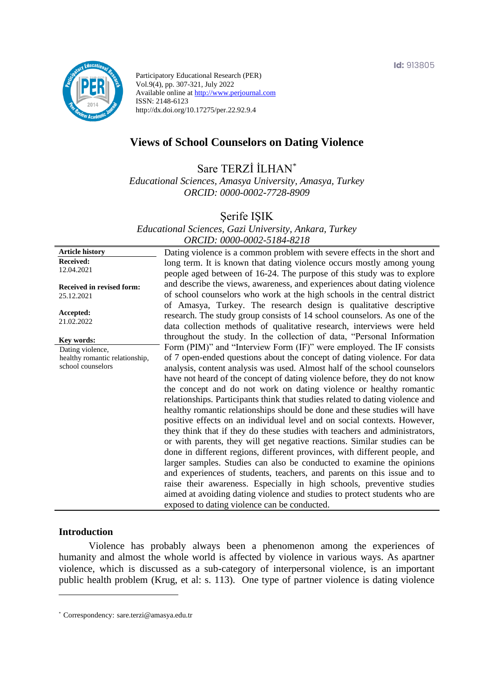

Participatory Educational Research (PER) Vol.9(4), pp. 307-321, July 2022 Available online at http://www.perjournal.com ISSN: 2148-6123 http://dx.doi.org/10.17275/per.22.92.9.4

# **Views of School Counselors on Dating Violence**

Sare TERZİ İLHAN\*

*Educational Sciences, Amasya University, Amasya, Turkey ORCID: 0000-0002-7728-8909*

Şerife IŞIK

*Educational Sciences, Gazi University, Ankara, Turkey ORCID: 0000-0002-5184-8218*

**Article history Received:**  12.04.2021 **Received in revised form:**  25.12.2021 **Accepted:** 21.02.2022 Dating violence is a common problem with severe effects in the short and long term. It is known that dating violence occurs mostly among young people aged between of 16-24. The purpose of this study was to explore and describe the views, awareness, and experiences about dating violence of school counselors who work at the high schools in the central district of Amasya, Turkey. The research design is qualitative descriptive research. The study group consists of 14 school counselors. As one of the data collection methods of qualitative research, interviews were held throughout the study. In the collection of data, "Personal Information Form (PIM)" and "Interview Form (IF)" were employed. The IF consists of 7 open-ended questions about the concept of dating violence. For data analysis, content analysis was used. Almost half of the school counselors have not heard of the concept of dating violence before, they do not know the concept and do not work on dating violence or healthy romantic relationships. Participants think that studies related to dating violence and healthy romantic relationships should be done and these studies will have positive effects on an individual level and on social contexts. However, they think that if they do these studies with teachers and administrators, or with parents, they will get negative reactions. Similar studies can be done in different regions, different provinces, with different people, and larger samples. Studies can also be conducted to examine the opinions and experiences of students, teachers, and parents on this issue and to raise their awareness. Especially in high schools, preventive studies aimed at avoiding dating violence and studies to protect students who are exposed to dating violence can be conducted. **Key words:** Dating violence, healthy romantic relationship, school counselors

#### **Introduction**

Violence has probably always been a phenomenon among the experiences of humanity and almost the whole world is affected by violence in various ways. As apartner violence, which is discussed as a sub-category of interpersonal violence, is an important public health problem (Krug, et al: s. 113). One type of partner violence is dating violence

<sup>\*</sup> [Correspondency:](mailto:Correspondency:) sare.terzi@amasya.edu.tr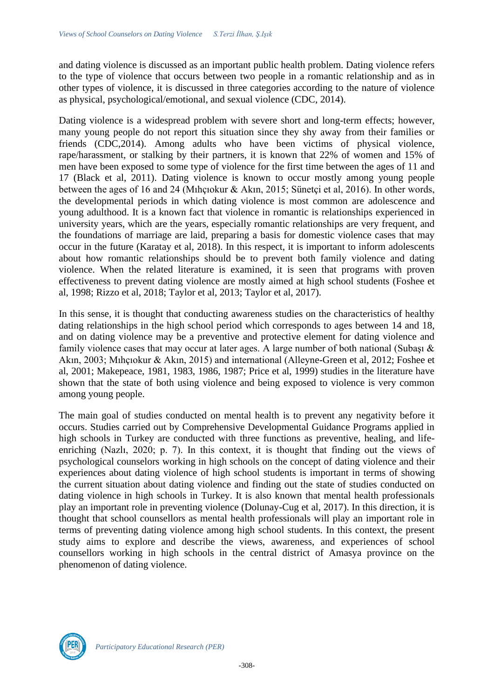and dating violence is discussed as an important public health problem. Dating violence refers to the type of violence that occurs between two people in a romantic relationship and as in other types of violence, it is discussed in three categories according to the nature of violence as physical, psychological/emotional, and sexual violence (CDC, 2014).

Dating violence is a widespread problem with severe short and long-term effects; however, many young people do not report this situation since they shy away from their families or friends (CDC,2014). Among adults who have been victims of physical violence, rape/harassment, or stalking by their partners, it is known that 22% of women and 15% of men have been exposed to some type of violence for the first time between the ages of 11 and 17 (Black et al, 2011). Dating violence is known to occur mostly among young people between the ages of 16 and 24 (Mıhçıokur & Akın, 2015; Sünetçi et al, 2016). In other words, the developmental periods in which dating violence is most common are adolescence and young adulthood. It is a known fact that violence in romantic is relationships experienced in university years, which are the years, especially romantic relationships are very frequent, and the foundations of marriage are laid, preparing a basis for domestic violence cases that may occur in the future (Karatay et al, 2018). In this respect, it is important to inform adolescents about how romantic relationships should be to prevent both family violence and dating violence. When the related literature is examined, it is seen that programs with proven effectiveness to prevent dating violence are mostly aimed at high school students (Foshee et al, 1998; Rizzo et al, 2018; Taylor et al, 2013; Taylor et al, 2017).

In this sense, it is thought that conducting awareness studies on the characteristics of healthy dating relationships in the high school period which corresponds to ages between 14 and 18, and on dating violence may be a preventive and protective element for dating violence and family violence cases that may occur at later ages. A large number of both national (Subaşı & Akın, 2003; Mıhçıokur & Akın, 2015) and international (Alleyne-Green et al, 2012; Foshee et al, 2001; Makepeace, 1981, 1983, 1986, 1987; Price et al, 1999) studies in the literature have shown that the state of both using violence and being exposed to violence is very common among young people.

The main goal of studies conducted on mental health is to prevent any negativity before it occurs. Studies carried out by Comprehensive Developmental Guidance Programs applied in high schools in Turkey are conducted with three functions as preventive, healing, and lifeenriching (Nazlı, 2020; p. 7). In this context, it is thought that finding out the views of psychological counselors working in high schools on the concept of dating violence and their experiences about dating violence of high school students is important in terms of showing the current situation about dating violence and finding out the state of studies conducted on dating violence in high schools in Turkey. It is also known that mental health professionals play an important role in preventing violence (Dolunay-Cug et al, 2017). In this direction, it is thought that school counsellors as mental health professionals will play an important role in terms of preventing dating violence among high school students. In this context, the present study aims to explore and describe the views, awareness, and experiences of school counsellors working in high schools in the central district of Amasya province on the phenomenon of dating violence.

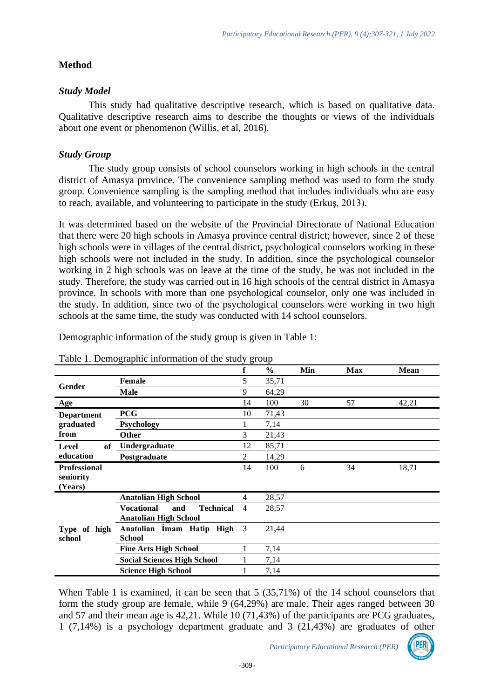# **Method**

# *Study Model*

This study had qualitative descriptive research, which is based on qualitative data. Qualitative descriptive research aims to describe the thoughts or views of the individuals about one event or phenomenon (Willis, et al, 2016).

# *Study Group*

The study group consists of school counselors working in high schools in the central district of Amasya province. The convenience sampling method was used to form the study group. Convenience sampling is the sampling method that includes individuals who are easy to reach, available, and volunteering to participate in the study (Erkuş, 2013).

It was determined based on the website of the Provincial Directorate of National Education that there were 20 high schools in Amasya province central district; however, since 2 of these high schools were in villages of the central district, psychological counselors working in these high schools were not included in the study. In addition, since the psychological counselor working in 2 high schools was on leave at the time of the study, he was not included in the study. Therefore, the study was carried out in 16 high schools of the central district in Amasya province. In schools with more than one psychological counselor, only one was included in the study. In addition, since two of the psychological counselors were working in two high schools at the same time, the study was conducted with 14 school counselors.

| Table 1. Demographic information of the study group |                                              |    |               |     |            |             |  |
|-----------------------------------------------------|----------------------------------------------|----|---------------|-----|------------|-------------|--|
|                                                     |                                              |    | $\frac{6}{6}$ | Min | <b>Max</b> | <b>Mean</b> |  |
| Gender                                              | <b>Female</b>                                | 5  | 35,71         |     |            |             |  |
|                                                     | <b>Male</b>                                  | 9  | 64,29         |     |            |             |  |
| Age                                                 |                                              | 14 | 100           | 30  | 57         | 42,21       |  |
| <b>Department</b><br>graduated<br>from              | <b>PCG</b>                                   | 10 | 71,43         |     |            |             |  |
|                                                     | <b>Psychology</b>                            |    | 7,14          |     |            |             |  |
|                                                     | <b>Other</b>                                 | 3  | 21,43         |     |            |             |  |
| <b>of</b><br>Level<br>education                     | Undergraduate                                | 12 | 85,71         |     |            |             |  |
|                                                     | Postgraduate                                 | 2  | 14,29         |     |            |             |  |
| <b>Professional</b>                                 |                                              | 14 | 100           | 6   | 34         | 18,71       |  |
| seniority                                           |                                              |    |               |     |            |             |  |
| (Years)                                             |                                              |    |               |     |            |             |  |
|                                                     | <b>Anatolian High School</b>                 | 4  | 28,57         |     |            |             |  |
|                                                     | <b>Vocational</b><br><b>Technical</b><br>and | 4  | 28,57         |     |            |             |  |
|                                                     | <b>Anatolian High School</b>                 |    |               |     |            |             |  |
| Type of high<br>school                              | Anatolian Imam Hatip High                    | 3  | 21,44         |     |            |             |  |
|                                                     | <b>School</b>                                |    |               |     |            |             |  |
|                                                     | <b>Fine Arts High School</b>                 |    | 7,14          |     |            |             |  |
|                                                     | <b>Social Sciences High School</b>           |    | 7,14          |     |            |             |  |
|                                                     | <b>Science High School</b>                   |    | 7,14          |     |            |             |  |

Demographic information of the study group is given in Table 1:

|  | Table 1. Demographic information of the study group |  |  |
|--|-----------------------------------------------------|--|--|
|  |                                                     |  |  |

When Table 1 is examined, it can be seen that 5 (35,71%) of the 14 school counselors that form the study group are female, while 9 (64,29%) are male. Their ages ranged between 30 and 57 and their mean age is 42,21. While 10 (71,43%) of the participants are PCG graduates, 1 (7,14%) is a psychology department graduate and 3 (21,43%) are graduates of other

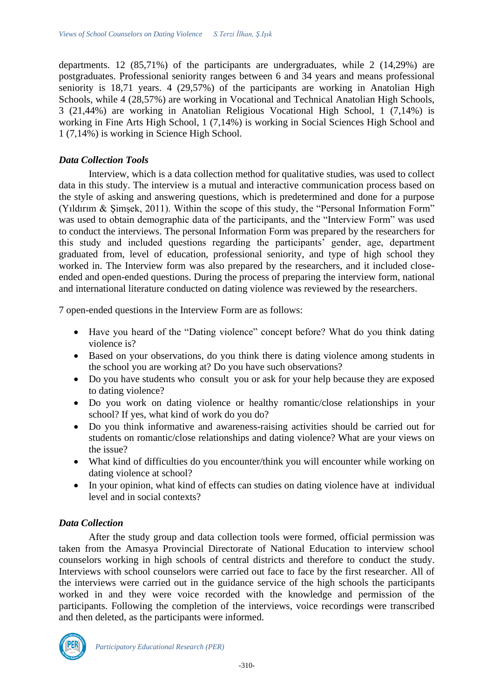departments. 12 (85,71%) of the participants are undergraduates, while 2 (14,29%) are postgraduates. Professional seniority ranges between 6 and 34 years and means professional seniority is 18,71 years. 4 (29,57%) of the participants are working in Anatolian High Schools, while 4 (28,57%) are working in Vocational and Technical Anatolian High Schools, 3 (21,44%) are working in Anatolian Religious Vocational High School, 1 (7,14%) is working in Fine Arts High School, 1 (7,14%) is working in Social Sciences High School and 1 (7,14%) is working in Science High School.

#### *Data Collection Tools*

Interview, which is a data collection method for qualitative studies, was used to collect data in this study. The interview is a mutual and interactive communication process based on the style of asking and answering questions, which is predetermined and done for a purpose (Yıldırım & Şimşek, 2011). Within the scope of this study, the "Personal Information Form" was used to obtain demographic data of the participants, and the "Interview Form" was used to conduct the interviews. The personal Information Form was prepared by the researchers for this study and included questions regarding the participants' gender, age, department graduated from, level of education, professional seniority, and type of high school they worked in. The Interview form was also prepared by the researchers, and it included closeended and open-ended questions. During the process of preparing the interview form, national and international literature conducted on dating violence was reviewed by the researchers.

7 open-ended questions in the Interview Form are as follows:

- Have you heard of the "Dating violence" concept before? What do you think dating violence is?
- Based on your observations, do you think there is dating violence among students in the school you are working at? Do you have such observations?
- Do you have students who consult you or ask for your help because they are exposed to dating violence?
- Do you work on dating violence or healthy romantic/close relationships in your school? If yes, what kind of work do you do?
- Do you think informative and awareness-raising activities should be carried out for students on romantic/close relationships and dating violence? What are your views on the issue?
- What kind of difficulties do you encounter/think you will encounter while working on dating violence at school?
- In your opinion, what kind of effects can studies on dating violence have at individual level and in social contexts?

## *Data Collection*

After the study group and data collection tools were formed, official permission was taken from the Amasya Provincial Directorate of National Education to interview school counselors working in high schools of central districts and therefore to conduct the study. Interviews with school counselors were carried out face to face by the first researcher. All of the interviews were carried out in the guidance service of the high schools the participants worked in and they were voice recorded with the knowledge and permission of the participants. Following the completion of the interviews, voice recordings were transcribed and then deleted, as the participants were informed.

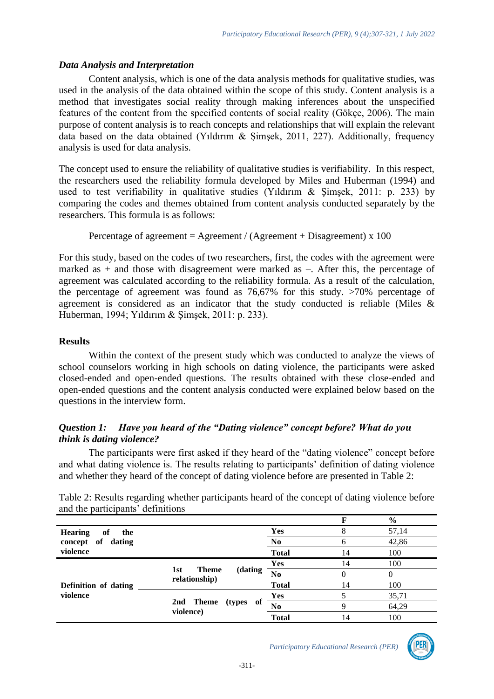### *Data Analysis and Interpretation*

Content analysis, which is one of the data analysis methods for qualitative studies, was used in the analysis of the data obtained within the scope of this study. Content analysis is a method that investigates social reality through making inferences about the unspecified features of the content from the specified contents of social reality (Gökçe, 2006). The main purpose of content analysis is to reach concepts and relationships that will explain the relevant data based on the data obtained (Yıldırım & Şimşek, 2011, 227). Additionally, frequency analysis is used for data analysis.

The concept used to ensure the reliability of qualitative studies is verifiability. In this respect, the researchers used the reliability formula developed by Miles and Huberman (1994) and used to test verifiability in qualitative studies (Yıldırım & Şimşek, 2011: p. 233) by comparing the codes and themes obtained from content analysis conducted separately by the researchers. This formula is as follows:

```
Percentage of agreement = Agreement / (Agreement + Disagreement) x 100
```
For this study, based on the codes of two researchers, first, the codes with the agreement were marked as  $+$  and those with disagreement were marked as  $-$ . After this, the percentage of agreement was calculated according to the reliability formula. As a result of the calculation, the percentage of agreement was found as 76,67% for this study. >70% percentage of agreement is considered as an indicator that the study conducted is reliable (Miles & Huberman, 1994; Yıldırım & Şimşek, 2011: p. 233).

## **Results**

Within the context of the present study which was conducted to analyze the views of school counselors working in high schools on dating violence, the participants were asked closed-ended and open-ended questions. The results obtained with these close-ended and open-ended questions and the content analysis conducted were explained below based on the questions in the interview form.

## *Question 1: Have you heard of the "Dating violence" concept before? What do you think is dating violence?*

The participants were first asked if they heard of the "dating violence" concept before and what dating violence is. The results relating to participants' definition of dating violence and whether they heard of the concept of dating violence before are presented in Table 2:

|                             |                                                 |                |       | $\frac{0}{0}$ |  |
|-----------------------------|-------------------------------------------------|----------------|-------|---------------|--|
| <b>Hearing</b><br>of<br>the |                                                 | Yes            | δ     | 57,14         |  |
| of<br>dating<br>concept     | N <sub>0</sub>                                  | O              | 42,86 |               |  |
| violence                    | <b>Total</b>                                    | 14             | 100   |               |  |
|                             | (dating<br><b>Theme</b><br>1st<br>relationship) | <b>Yes</b>     | 14    | 100           |  |
|                             |                                                 | N <sub>0</sub> |       | 0             |  |
| Definition of dating        |                                                 | <b>Total</b>   | 14    | 100           |  |
| violence                    | 2nd Theme<br>(types)<br>- of<br>violence)       | Yes            |       | 35,71         |  |
|                             |                                                 | No             | Q     | 64,29         |  |
|                             |                                                 | <b>Total</b>   | 14    | 100           |  |

Table 2: Results regarding whether participants heard of the concept of dating violence before and the participants' definitions

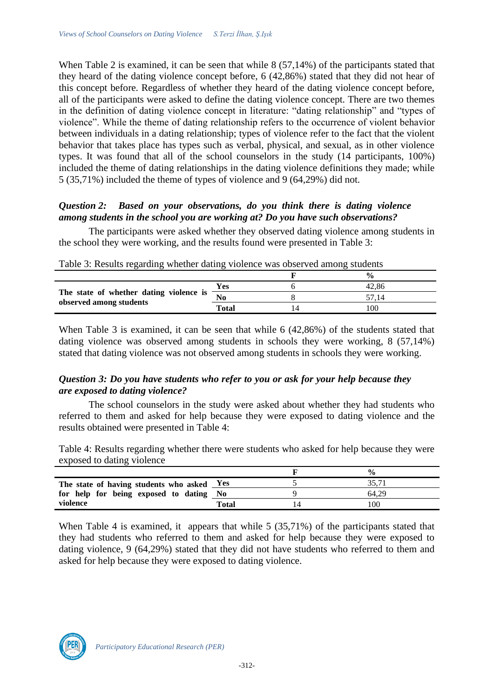When Table 2 is examined, it can be seen that while 8 (57,14%) of the participants stated that they heard of the dating violence concept before, 6 (42,86%) stated that they did not hear of this concept before. Regardless of whether they heard of the dating violence concept before, all of the participants were asked to define the dating violence concept. There are two themes in the definition of dating violence concept in literature: "dating relationship" and "types of violence". While the theme of dating relationship refers to the occurrence of violent behavior between individuals in a dating relationship; types of violence refer to the fact that the violent behavior that takes place has types such as verbal, physical, and sexual, as in other violence types. It was found that all of the school counselors in the study (14 participants, 100%) included the theme of dating relationships in the dating violence definitions they made; while 5 (35,71%) included the theme of types of violence and 9 (64,29%) did not.

## *Question 2: Based on your observations, do you think there is dating violence among students in the school you are working at? Do you have such observations?*

The participants were asked whether they observed dating violence among students in the school they were working, and the results found were presented in Table 3:

| $\frac{0}{0}$                                                                          |  |
|----------------------------------------------------------------------------------------|--|
| Yes<br>42.86                                                                           |  |
| The state of whether dating violence is<br>$\overline{N_0}$<br>observed among students |  |
| Total<br>00                                                                            |  |

| Table 3: Results regarding whether dating violence was observed among students |  |
|--------------------------------------------------------------------------------|--|
|--------------------------------------------------------------------------------|--|

When Table 3 is examined, it can be seen that while 6 (42,86%) of the students stated that dating violence was observed among students in schools they were working, 8 (57,14%) stated that dating violence was not observed among students in schools they were working.

# *Question 3: Do you have students who refer to you or ask for your help because they are exposed to dating violence?*

The school counselors in the study were asked about whether they had students who referred to them and asked for help because they were exposed to dating violence and the results obtained were presented in Table 4:

Table 4: Results regarding whether there were students who asked for help because they were exposed to dating violence

|                                            |       | $\frac{0}{0}$ |
|--------------------------------------------|-------|---------------|
| The state of having students who asked Yes |       | 25 T          |
| for help for being exposed to dating No    |       | 64.29         |
| violence                                   | Total | 100           |

When Table 4 is examined, it appears that while 5 (35,71%) of the participants stated that they had students who referred to them and asked for help because they were exposed to dating violence, 9 (64,29%) stated that they did not have students who referred to them and asked for help because they were exposed to dating violence.

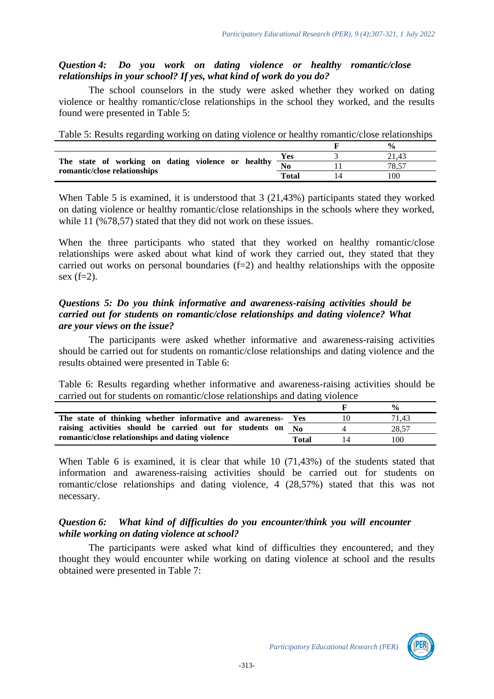## *Question 4: Do you work on dating violence or healthy romantic/close relationships in your school? If yes, what kind of work do you do?*

The school counselors in the study were asked whether they worked on dating violence or healthy romantic/close relationships in the school they worked, and the results found were presented in Table 5:

|  |  |  | Table 5: Results regarding working on dating violence or healthy romantic/close relationships |  |
|--|--|--|-----------------------------------------------------------------------------------------------|--|
|  |  |  |                                                                                               |  |

|                                                                      |       | $\frac{0}{0}$ |
|----------------------------------------------------------------------|-------|---------------|
|                                                                      | Yes   | 21.43         |
| The state of working on dating violence or healthy $\frac{200}{N_0}$ |       | 78.57         |
| romantic/close relationships                                         | Total | 100           |

When Table 5 is examined, it is understood that 3 (21,43%) participants stated they worked on dating violence or healthy romantic/close relationships in the schools where they worked, while 11 (%78,57) stated that they did not work on these issues.

When the three participants who stated that they worked on healthy romantic/close relationships were asked about what kind of work they carried out, they stated that they carried out works on personal boundaries  $(f=2)$  and healthy relationships with the opposite sex  $(f=2)$ .

### *Questions 5: Do you think informative and awareness-raising activities should be carried out for students on romantic/close relationships and dating violence? What are your views on the issue?*

The participants were asked whether informative and awareness-raising activities should be carried out for students on romantic/close relationships and dating violence and the results obtained were presented in Table 6:

Table 6: Results regarding whether informative and awareness-raising activities should be carried out for students on romantic/close relationships and dating violence

|                                                          |         | $\frac{0}{0}$ |
|----------------------------------------------------------|---------|---------------|
| The state of thinking whether informative and awareness- | Yes     | 71.43         |
| raising activities should be carried out for students on | $N_{0}$ | 28.57         |
| romantic/close relationships and dating violence         | Total   | 100           |

When Table 6 is examined, it is clear that while 10 (71,43%) of the students stated that information and awareness-raising activities should be carried out for students on romantic/close relationships and dating violence, 4 (28,57%) stated that this was not necessary.

## *Question 6: What kind of difficulties do you encounter/think you will encounter while working on dating violence at school?*

The participants were asked what kind of difficulties they encountered, and they thought they would encounter while working on dating violence at school and the results obtained were presented in Table 7:

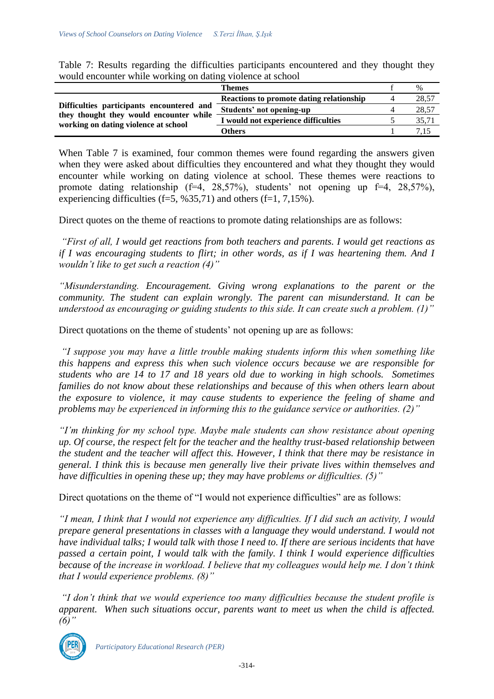|                                                                                                                              | <b>Themes</b>                            | $\frac{0}{0}$ |
|------------------------------------------------------------------------------------------------------------------------------|------------------------------------------|---------------|
| Difficulties participants encountered and<br>they thought they would encounter while<br>working on dating violence at school | Reactions to promote dating relationship | 28,57         |
|                                                                                                                              | Students' not opening-up                 | 28,57         |
|                                                                                                                              | I would not experience difficulties      | 35.71         |
|                                                                                                                              | Others                                   |               |

Table 7: Results regarding the difficulties participants encountered and they thought they would encounter while working on dating violence at school

When Table 7 is examined, four common themes were found regarding the answers given when they were asked about difficulties they encountered and what they thought they would encounter while working on dating violence at school. These themes were reactions to promote dating relationship  $(f=4, 28,57%)$ , students' not opening up  $f=4, 28,57%$ ), experiencing difficulties (f=5,  $\frac{635}{71}$ ) and others (f=1, 7,15%).

Direct quotes on the theme of reactions to promote dating relationships are as follows:

*"First of all, I would get reactions from both teachers and parents. I would get reactions as if I was encouraging students to flirt; in other words, as if I was heartening them. And I wouldn't like to get such a reaction (4)"*

*"Misunderstanding. Encouragement. Giving wrong explanations to the parent or the community. The student can explain wrongly. The parent can misunderstand. It can be understood as encouraging or guiding students to this side. It can create such a problem. (1)"*

Direct quotations on the theme of students' not opening up are as follows:

*"I suppose you may have a little trouble making students inform this when something like this happens and express this when such violence occurs because we are responsible for students who are 14 to 17 and 18 years old due to working in high schools. Sometimes families do not know about these relationships and because of this when others learn about the exposure to violence, it may cause students to experience the feeling of shame and problems may be experienced in informing this to the guidance service or authorities. (2)"*

*"I'm thinking for my school type. Maybe male students can show resistance about opening up. Of course, the respect felt for the teacher and the healthy trust-based relationship between the student and the teacher will affect this. However, I think that there may be resistance in general. I think this is because men generally live their private lives within themselves and have difficulties in opening these up; they may have problems or difficulties. (5)"* 

Direct quotations on the theme of "I would not experience difficulties" are as follows:

*"I mean, I think that I would not experience any difficulties. If I did such an activity, I would prepare general presentations in classes with a language they would understand. I would not have individual talks; I would talk with those I need to. If there are serious incidents that have passed a certain point, I would talk with the family. I think I would experience difficulties because of the increase in workload. I believe that my colleagues would help me. I don't think that I would experience problems. (8)"*

*"I don't think that we would experience too many difficulties because the student profile is apparent. When such situations occur, parents want to meet us when the child is affected. (6)"*



*Participatory Educational Research (PER)*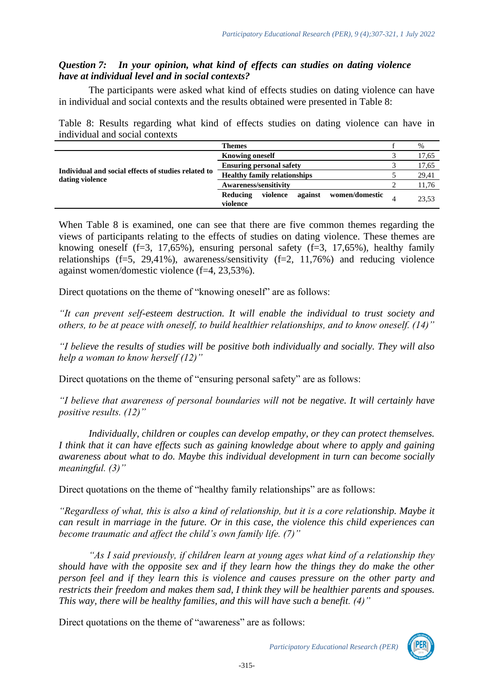## *Question 7: In your opinion, what kind of effects can studies on dating violence have at individual level and in social contexts?*

The participants were asked what kind of effects studies on dating violence can have in individual and social contexts and the results obtained were presented in Table 8:

Table 8: Results regarding what kind of effects studies on dating violence can have in individual and social contexts

|                                                                        | <b>Themes</b>                                                 | $\%$  |
|------------------------------------------------------------------------|---------------------------------------------------------------|-------|
| Individual and social effects of studies related to<br>dating violence | <b>Knowing oneself</b>                                        | 17,65 |
|                                                                        | <b>Ensuring personal safety</b>                               | 17,65 |
|                                                                        | <b>Healthy family relationships</b>                           | 29,41 |
|                                                                        | <b>Awareness/sensitivity</b>                                  | 11,76 |
|                                                                        | violence<br>against<br>women/domestic<br>Reducing<br>violence | 23,53 |

When Table 8 is examined, one can see that there are five common themes regarding the views of participants relating to the effects of studies on dating violence. These themes are knowing oneself  $(f=3, 17,65\%)$ , ensuring personal safety  $(f=3, 17,65\%)$ , healthy family relationships  $(f=5, 29,41\%)$ , awareness/sensitivity  $(f=2, 11,76\%)$  and reducing violence against women/domestic violence (f=4, 23,53%).

Direct quotations on the theme of "knowing oneself" are as follows:

*"It can prevent self-esteem destruction. It will enable the individual to trust society and others, to be at peace with oneself, to build healthier relationships, and to know oneself. (14)"*

*"I believe the results of studies will be positive both individually and socially. They will also help a woman to know herself (12)"*

Direct quotations on the theme of "ensuring personal safety" are as follows:

*"I believe that awareness of personal boundaries will not be negative. It will certainly have positive results. (12)"*

*Individually, children or couples can develop empathy, or they can protect themselves. I think that it can have effects such as gaining knowledge about where to apply and gaining awareness about what to do. Maybe this individual development in turn can become socially meaningful. (3)"*

Direct quotations on the theme of "healthy family relationships" are as follows:

*"Regardless of what, this is also a kind of relationship, but it is a core relationship. Maybe it can result in marriage in the future. Or in this case, the violence this child experiences can become traumatic and affect the child's own family life. (7)"*

*"As I said previously, if children learn at young ages what kind of a relationship they should have with the opposite sex and if they learn how the things they do make the other person feel and if they learn this is violence and causes pressure on the other party and restricts their freedom and makes them sad, I think they will be healthier parents and spouses. This way, there will be healthy families, and this will have such a benefit. (4)"* 

Direct quotations on the theme of "awareness" are as follows:

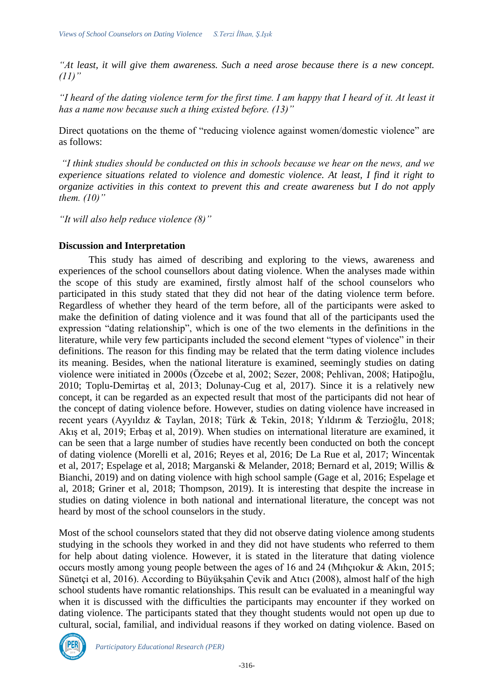*"At least, it will give them awareness. Such a need arose because there is a new concept. (11)"*

*"I heard of the dating violence term for the first time. I am happy that I heard of it. At least it has a name now because such a thing existed before. (13)"*

Direct quotations on the theme of "reducing violence against women/domestic violence" are as follows:

*"I think studies should be conducted on this in schools because we hear on the news, and we experience situations related to violence and domestic violence. At least, I find it right to organize activities in this context to prevent this and create awareness but I do not apply them. (10)"*

*"It will also help reduce violence (8)"*

### **Discussion and Interpretation**

This study has aimed of describing and exploring to the views, awareness and experiences of the school counsellors about dating violence. When the analyses made within the scope of this study are examined, firstly almost half of the school counselors who participated in this study stated that they did not hear of the dating violence term before. Regardless of whether they heard of the term before, all of the participants were asked to make the definition of dating violence and it was found that all of the participants used the expression "dating relationship", which is one of the two elements in the definitions in the literature, while very few participants included the second element "types of violence" in their definitions. The reason for this finding may be related that the term dating violence includes its meaning. Besides, when the national literature is examined, seemingly studies on dating violence were initiated in 2000s (Özcebe et al, 2002; Sezer, 2008; Pehlivan, 2008; Hatipoğlu, 2010; Toplu-Demirtaş et al, 2013; Dolunay-Cug et al, 2017). Since it is a relatively new concept, it can be regarded as an expected result that most of the participants did not hear of the concept of dating violence before. However, studies on dating violence have increased in recent years (Ayyıldız & Taylan, 2018; Türk & Tekin, 2018; Yıldırım & Terzioğlu, 2018; Akış et al, 2019; Erbaş et al, 2019). When studies on international literature are examined, it can be seen that a large number of studies have recently been conducted on both the concept of dating violence (Morelli et al, 2016; Reyes et al, 2016; De La Rue et al, 2017; Wincentak et al, 2017; Espelage et al, 2018; Marganski & Melander, 2018; Bernard et al, 2019; Willis & Bianchi, 2019) and on dating violence with high school sample (Gage et al, 2016; Espelage et al, 2018; Griner et al, 2018; Thompson, 2019). It is interesting that despite the increase in studies on dating violence in both national and international literature, the concept was not heard by most of the school counselors in the study.

Most of the school counselors stated that they did not observe dating violence among students studying in the schools they worked in and they did not have students who referred to them for help about dating violence. However, it is stated in the literature that dating violence occurs mostly among young people between the ages of 16 and 24 (Mıhçıokur & Akın, 2015; Sünetçi et al, 2016). According to Büyükşahin Çevik and Atıcı (2008), almost half of the high school students have romantic relationships. This result can be evaluated in a meaningful way when it is discussed with the difficulties the participants may encounter if they worked on dating violence. The participants stated that they thought students would not open up due to cultural, social, familial, and individual reasons if they worked on dating violence. Based on

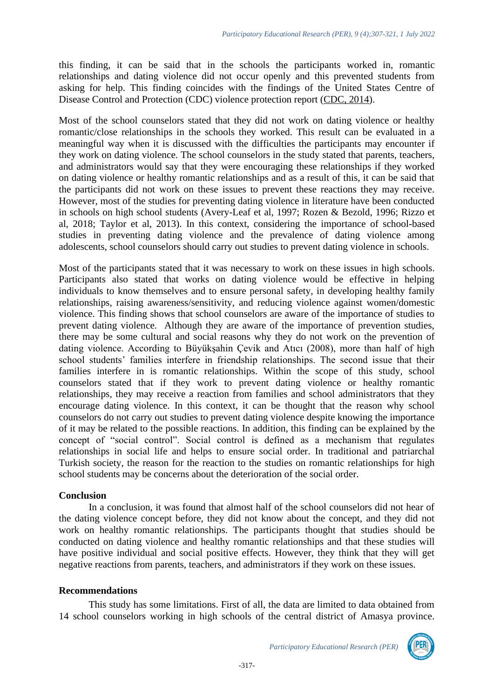this finding, it can be said that in the schools the participants worked in, romantic relationships and dating violence did not occur openly and this prevented students from asking for help. This finding coincides with the findings of the United States Centre of Disease Control and Protection (CDC) violence protection report [\(CDC,](https://www.cdc.gov/violenceprevention/pdf/teen-dating-violence-2014-a.pdf) 2014).

Most of the school counselors stated that they did not work on dating violence or healthy romantic/close relationships in the schools they worked. This result can be evaluated in a meaningful way when it is discussed with the difficulties the participants may encounter if they work on dating violence. The school counselors in the study stated that parents, teachers, and administrators would say that they were encouraging these relationships if they worked on dating violence or healthy romantic relationships and as a result of this, it can be said that the participants did not work on these issues to prevent these reactions they may receive. However, most of the studies for preventing dating violence in literature have been conducted in schools on high school students (Avery-Leaf et al, 1997; Rozen & Bezold, 1996; Rizzo et al, 2018; Taylor et al, 2013). In this context, considering the importance of school-based studies in preventing dating violence and the prevalence of dating violence among adolescents, school counselors should carry out studies to prevent dating violence in schools.

Most of the participants stated that it was necessary to work on these issues in high schools. Participants also stated that works on dating violence would be effective in helping individuals to know themselves and to ensure personal safety, in developing healthy family relationships, raising awareness/sensitivity, and reducing violence against women/domestic violence. This finding shows that school counselors are aware of the importance of studies to prevent dating violence. Although they are aware of the importance of prevention studies, there may be some cultural and social reasons why they do not work on the prevention of dating violence. According to Büyükşahin Çevik and Atıcı (2008), more than half of high school students' families interfere in friendship relationships. The second issue that their families interfere in is romantic relationships. Within the scope of this study, school counselors stated that if they work to prevent dating violence or healthy romantic relationships, they may receive a reaction from families and school administrators that they encourage dating violence. In this context, it can be thought that the reason why school counselors do not carry out studies to prevent dating violence despite knowing the importance of it may be related to the possible reactions. In addition, this finding can be explained by the concept of "social control". Social control is defined as a mechanism that regulates relationships in social life and helps to ensure social order. In traditional and patriarchal Turkish society, the reason for the reaction to the studies on romantic relationships for high school students may be concerns about the deterioration of the social order.

## **Conclusion**

In a conclusion, it was found that almost half of the school counselors did not hear of the dating violence concept before, they did not know about the concept, and they did not work on healthy romantic relationships. The participants thought that studies should be conducted on dating violence and healthy romantic relationships and that these studies will have positive individual and social positive effects. However, they think that they will get negative reactions from parents, teachers, and administrators if they work on these issues.

#### **Recommendations**

This study has some limitations. First of all, the data are limited to data obtained from 14 school counselors working in high schools of the central district of Amasya province.

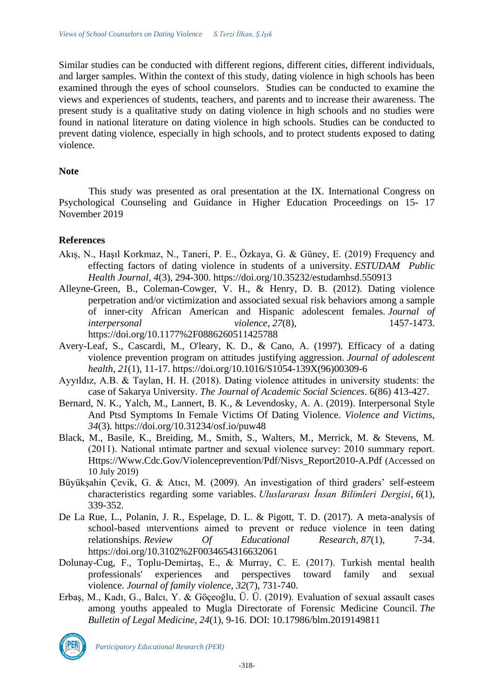Similar studies can be conducted with different regions, different cities, different individuals, and larger samples. Within the context of this study, dating violence in high schools has been examined through the eyes of school counselors. Studies can be conducted to examine the views and experiences of students, teachers, and parents and to increase their awareness. The present study is a qualitative study on dating violence in high schools and no studies were found in national literature on dating violence in high schools. Studies can be conducted to prevent dating violence, especially in high schools, and to protect students exposed to dating violence.

#### **Note**

This study was presented as oral presentation at the IX. International Congress on Psychological Counseling and Guidance in Higher Education Proceedings on 15- 17 November 2019

#### **References**

- Akış, N., Haşıl Korkmaz, N., Taneri, P. E., Özkaya, G. & Güney, E. (2019) Frequency and effecting factors of dating violence in students of a university. *ESTUDAM Public Health Journal*, *4*(3), 294-300.<https://doi.org/10.35232/estudamhsd.550913>
- Alleyne-Green, B., Coleman-Cowger, V. H., & Henry, D. B. (2012). Dating violence perpetration and/or victimization and associated sexual risk behaviors among a sample of inner-city African American and Hispanic adolescent females. *Journal of interpersonal violence*, *27*(8), 1457-1473. <https://doi.org/10.1177%2F0886260511425788>
- Avery-Leaf, S., Cascardi, M., O'leary, K. D., & Cano, A. (1997). Efficacy of a dating violence prevention program on attitudes justifying aggression. *Journal of adolescent health*, *21*(1), 11-17. [https://doi.org/10.1016/S1054-139X\(96\)00309-6](https://doi.org/10.1016/S1054-139X(96)00309-6)
- Ayyıldız, A.B. & Taylan, H. H. (2018). Dating violence attitudes in university students: the case of Sakarya University. *The Journal of Academic Social Sciences*. 6(86) 413-427.
- Bernard, N. K., Yalch, M., Lannert, B. K., & Levendosky, A. A. (2019). Interpersonal Style And Ptsd Symptoms In Female Victims Of Dating Violence. *Violence and Victims, 34*(3).<https://doi.org/10.31234/osf.io/puw48>
- Black, M., Basile, K., Breiding, M., Smith, S., Walters, M., Merrick, M. & Stevens, M. (2011). National ıntimate partner and sexual violence survey: 2010 summary report. [Https://Www.Cdc.Gov/Violenceprevention/Pdf/Nisvs\\_Report2010-A.Pdf](https://www.cdc.gov/violenceprevention/pdf/nisvs_report2010-a.pdf) (Accessed on 10 July 2019)
- Büyükşahin Çevik, G. & Atıcı, M. (2009). An investigation of third graders' self-esteem characteristics regarding some variables. *Uluslararası İnsan Bilimleri Dergisi*, *6*(1), 339-352.
- De La Rue, L., Polanin, J. R., Espelage, D. L. & Pigott, T. D. (2017). A meta-analysis of school-based ınterventions aimed to prevent or reduce violence in teen dating relationships. *Review Of Educational Research*, *87*(1), 7-34. <https://doi.org/10.3102%2F0034654316632061>
- Dolunay-Cug, F., Toplu-Demirtaş, E., & Murray, C. E. (2017). Turkish mental health professionals' experiences and perspectives toward family and sexual violence. *Journal of family violence*, *32*(7), 731-740.
- Erbaş, M., Kadı, G., Balcı, Y. & Göçeoğlu, Ü. Ü. (2019). Evaluation of sexual assault cases among youths appealed to Mugla Directorate of Forensic Medicine Council. *The Bulletin of Legal Medicine*, *24*(1), 9-16. DOI: 10.17986/blm.2019149811



*Participatory Educational Research (PER)*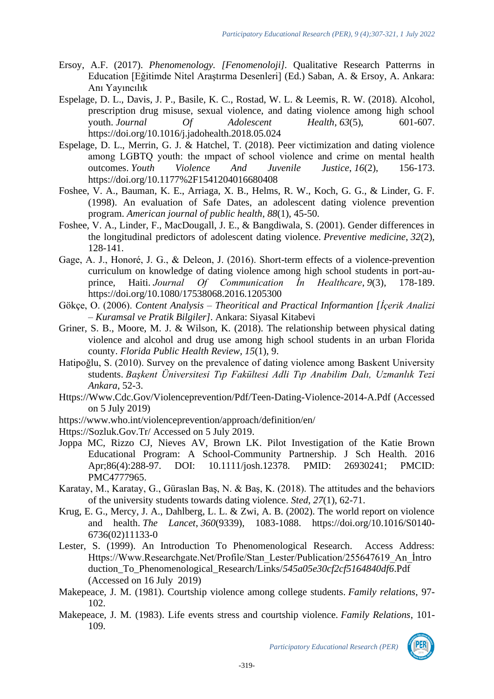- Ersoy, A.F. (2017). *Phenomenology. [Fenomenoloji].* Qualitative Research Patterrns in Education [Eğitimde Nitel Araştırma Desenleri] (Ed.) Saban, A. & Ersoy, A. Ankara: Anı Yayıncılık
- Espelage, D. L., Davis, J. P., Basile, K. C., Rostad, W. L. & Leemis, R. W. (2018). Alcohol, prescription drug misuse, sexual violence, and dating violence among high school youth. *Journal Of Adolescent Health*, *63*(5), 601-607. https://doi.org/10.1016/j.jadohealth.2018.05.024
- Espelage, D. L., Merrin, G. J. & Hatchel, T. (2018). Peer victimization and dating violence among LGBTQ youth: the ımpact of school violence and crime on mental health outcomes. *Youth Violence And Juvenile Justice*, *16*(2), 156-173. <https://doi.org/10.1177%2F1541204016680408>
- Foshee, V. A., Bauman, K. E., Arriaga, X. B., Helms, R. W., Koch, G. G., & Linder, G. F. (1998). An evaluation of Safe Dates, an adolescent dating violence prevention program. *American journal of public health*, *88*(1), 45-50.
- Foshee, V. A., Linder, F., MacDougall, J. E., & Bangdiwala, S. (2001). Gender differences in the longitudinal predictors of adolescent dating violence. *Preventive medicine*, *32*(2), 128-141.
- Gage, A. J., Honoré, J. G., & Deleon, J. (2016). Short-term effects of a violence-prevention curriculum on knowledge of dating violence among high school students in port-auprince, Haiti. *Journal Of Communication İn Healthcare*, *9*(3), 178-189. https://doi.org/10.1080/17538068.2016.1205300
- Gökçe, O. (2006). *Content Analysis – Theoritical and Practical Informantion [İçerik Analizi – Kuramsal ve Pratik Bilgiler]*. Ankara: Siyasal Kitabevi
- Griner, S. B., Moore, M. J. & Wilson, K. (2018). The relationship between physical dating violence and alcohol and drug use among high school students in an urban Florida county. *Florida Public Health Review*, *15*(1), 9.
- Hatipoğlu, S. (2010). Survey on the prevalence of dating violence among Baskent University students. *Başkent Üniversitesi Tıp Fakültesi Adli Tıp Anabilim Dalı, Uzmanlık Tezi Ankara*, 52-3.
- [Https://Www.Cdc.Gov/Violenceprevention/Pdf/Teen-Dating-Violence-2014-A.Pdf](https://www.cdc.gov/violenceprevention/pdf/teen-dating-violence-2014-a.pdf) (Accessed on 5 July 2019)
- <https://www.who.int/violenceprevention/approach/definition/en/>
- [Https://Sozluk.Gov.Tr/](https://sozluk.gov.tr/) Accessed on 5 July 2019.
- Joppa MC, Rizzo CJ, Nieves AV, Brown LK. Pilot Investigation of the Katie Brown Educational Program: A School-Community Partnership. J Sch Health. 2016 Apr;86(4):288-97. DOI: 10.1111/josh.12378. PMID: 26930241; PMCID: PMC4777965.
- Karatay, M., Karatay, G., Güraslan Baş, N. & Baş, K. (2018). The attitudes and the behaviors of the university students towards dating violence. *Sted*, *27*(1), 62-71.
- Krug, E. G., Mercy, J. A., Dahlberg, L. L. & Zwi, A. B. (2002). The world report on violence and health. *The Lancet*, *360*(9339), 1083-1088. [https://doi.org/10.1016/S0140-](https://doi.org/10.1016/S0140-6736(02)11133-0) [6736\(02\)11133-0](https://doi.org/10.1016/S0140-6736(02)11133-0)
- Lester, S. (1999). An Introduction To Phenomenological Research. Access Address: [Https://Www.Researchgate.Net/Profile/Stan\\_Lester/Publication/255647619\\_An\\_İntro](https://www.researchgate.net/profile/Stan_Lester/publication/255647619_An_introduction_to_phenomenological_research/links/545a05e30cf2cf5164840df6.pdf) [duction\\_To\\_Phenomenological\\_Research/Links/](https://www.researchgate.net/profile/Stan_Lester/publication/255647619_An_introduction_to_phenomenological_research/links/545a05e30cf2cf5164840df6.pdf)*545a05e30cf2cf5164840df6*.Pdf (Accessed on 16 July 2019)
- Makepeace, J. M. (1981). Courtship violence among college students. *Family relations*, 97- 102.
- Makepeace, J. M. (1983). Life events stress and courtship violence. *Family Relations*, 101- 109.

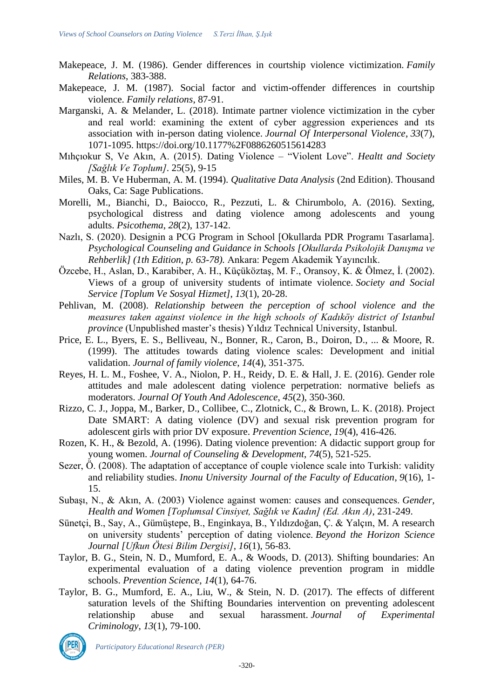- Makepeace, J. M. (1986). Gender differences in courtship violence victimization. *Family Relations*, 383-388.
- Makepeace, J. M. (1987). Social factor and victim-offender differences in courtship violence. *Family relations*, 87-91.
- Marganski, A. & Melander, L. (2018). Intimate partner violence victimization in the cyber and real world: examining the extent of cyber aggression experiences and ıts association with in-person dating violence. *Journal Of Interpersonal Violence*, *33*(7), 1071-1095.<https://doi.org/10.1177%2F0886260515614283>
- Mıhçıokur S, Ve Akın, A. (2015). Dating Violence "Violent Love". *Healtt and Society [Sağlık Ve Toplum]*. 25(5), 9-15
- Miles, M. B. Ve Huberman, A. M. (1994). *Qualitative Data Analysis* (2nd Edition). Thousand Oaks, Ca: Sage Publications.
- Morelli, M., Bianchi, D., Baiocco, R., Pezzuti, L. & Chirumbolo, A. (2016). Sexting, psychological distress and dating violence among adolescents and young adults. *Psicothema*, *28*(2), 137-142.
- Nazlı, S. (2020). Designin a PCG Program in School [Okullarda PDR Programı Tasarlama]. *Psychological Counseling and Guidance in Schools [Okullarda Psikolojik Danışma ve Rehberlik] (1th Edition, p. 63-78).* Ankara: Pegem Akademik Yayıncılık.
- Özcebe, H., Aslan, D., Karabiber, A. H., Küçüköztaş, M. F., Oransoy, K. & Ölmez, İ. (2002). Views of a group of university students of intimate violence. *Society and Social Service [Toplum Ve Sosyal Hizmet]*, *13*(1), 20-28.
- Pehlivan, M. (2008). *Relationship between the perception of school violence and the measures taken against violence in the high schools of Kadıköy district of Istanbul province* (Unpublished master's thesis) Yıldız Technical University, Istanbul.
- Price, E. L., Byers, E. S., Belliveau, N., Bonner, R., Caron, B., Doiron, D., ... & Moore, R. (1999). The attitudes towards dating violence scales: Development and initial validation. *Journal of family violence*, *14*(4), 351-375.
- Reyes, H. L. M., Foshee, V. A., Niolon, P. H., Reidy, D. E. & Hall, J. E. (2016). Gender role attitudes and male adolescent dating violence perpetration: normative beliefs as moderators. *Journal Of Youth And Adolescence*, *45*(2), 350-360.
- Rizzo, C. J., Joppa, M., Barker, D., Collibee, C., Zlotnick, C., & Brown, L. K. (2018). Project Date SMART: A dating violence (DV) and sexual risk prevention program for adolescent girls with prior DV exposure. *Prevention Science*, *19*(4), 416-426.
- Rozen, K. H., & Bezold, A. (1996). Dating violence prevention: A didactic support group for young women. *Journal of Counseling & Development*, *74*(5), 521-525.
- Sezer, Ö. (2008). The adaptation of acceptance of couple violence scale into Turkish: validity and reliability studies. *Inonu University Journal of the Faculty of Education*, *9*(16), 1- 15.
- Subaşı, N., & Akın, A. (2003) Violence against women: causes and consequences. *Gender, Health and Women [Toplumsal Cinsiyet, Sağlık ve Kadın] (Ed. Akın A)*, 231-249.
- Sünetçi, B., Say, A., Gümüştepe, B., Enginkaya, B., Yıldızdoğan, Ç. & Yalçın, M. A research on university students' perception of dating violence. *Beyond the Horizon Science Journal [Ufkun Ötesi Bilim Dergisi]*, *16*(1), 56-83.
- Taylor, B. G., Stein, N. D., Mumford, E. A., & Woods, D. (2013). Shifting boundaries: An experimental evaluation of a dating violence prevention program in middle schools. *Prevention Science*, *14*(1), 64-76.
- Taylor, B. G., Mumford, E. A., Liu, W., & Stein, N. D. (2017). The effects of different saturation levels of the Shifting Boundaries intervention on preventing adolescent relationship abuse and sexual harassment. *Journal of Experimental Criminology*, *13*(1), 79-100.



*Participatory Educational Research (PER)*